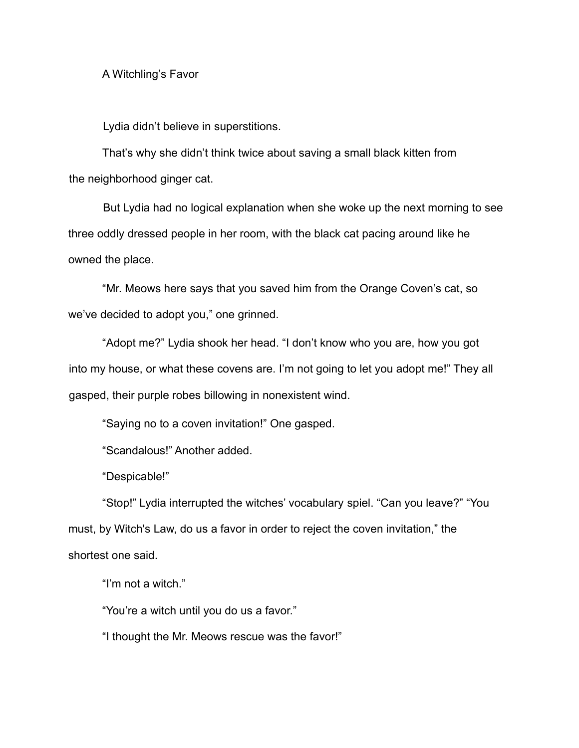A Witchling's Favor

Lydia didn't believe in superstitions.

That's why she didn't think twice about saving a small black kitten from the neighborhood ginger cat.

But Lydia had no logical explanation when she woke up the next morning to see three oddly dressed people in her room, with the black cat pacing around like he owned the place.

"Mr. Meows here says that you saved him from the Orange Coven's cat, so we've decided to adopt you," one grinned.

"Adopt me?" Lydia shook her head. "I don't know who you are, how you got into my house, or what these covens are. I'm not going to let you adopt me!" They all gasped, their purple robes billowing in nonexistent wind.

"Saying no to a coven invitation!" One gasped.

"Scandalous!" Another added.

"Despicable!"

"Stop!" Lydia interrupted the witches' vocabulary spiel. "Can you leave?" "You must, by Witch's Law, do us a favor in order to reject the coven invitation," the shortest one said.

"I'm not a witch."

"You're a witch until you do us a favor."

"I thought the Mr. Meows rescue was the favor!"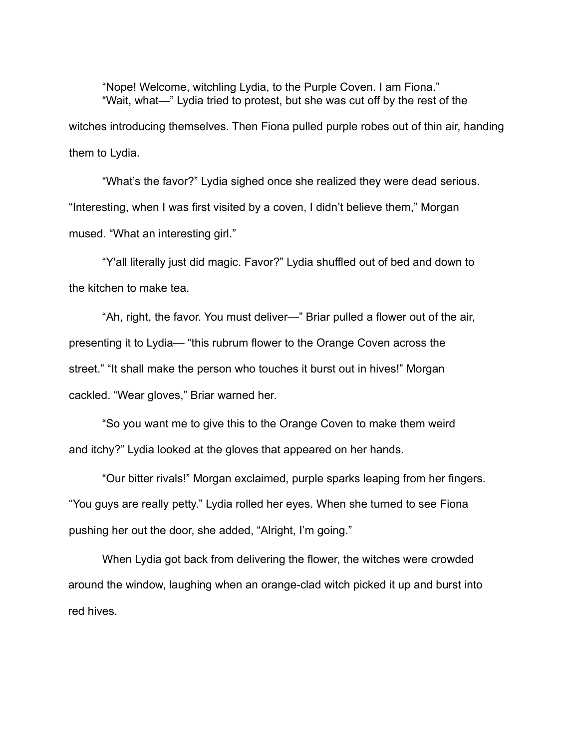"Nope! Welcome, witchling Lydia, to the Purple Coven. I am Fiona." "Wait, what—" Lydia tried to protest, but she was cut off by the rest of the witches introducing themselves. Then Fiona pulled purple robes out of thin air, handing them to Lydia.

"What's the favor?" Lydia sighed once she realized they were dead serious. "Interesting, when I was first visited by a coven, I didn't believe them," Morgan mused. "What an interesting girl."

"Y'all literally just did magic. Favor?" Lydia shuffled out of bed and down to the kitchen to make tea.

"Ah, right, the favor. You must deliver—" Briar pulled a flower out of the air, presenting it to Lydia— "this rubrum flower to the Orange Coven across the street." "It shall make the person who touches it burst out in hives!" Morgan cackled. "Wear gloves," Briar warned her.

"So you want me to give this to the Orange Coven to make them weird and itchy?" Lydia looked at the gloves that appeared on her hands.

"Our bitter rivals!" Morgan exclaimed, purple sparks leaping from her fingers. "You guys are really petty." Lydia rolled her eyes. When she turned to see Fiona pushing her out the door, she added, "Alright, I'm going."

When Lydia got back from delivering the flower, the witches were crowded around the window, laughing when an orange-clad witch picked it up and burst into red hives.